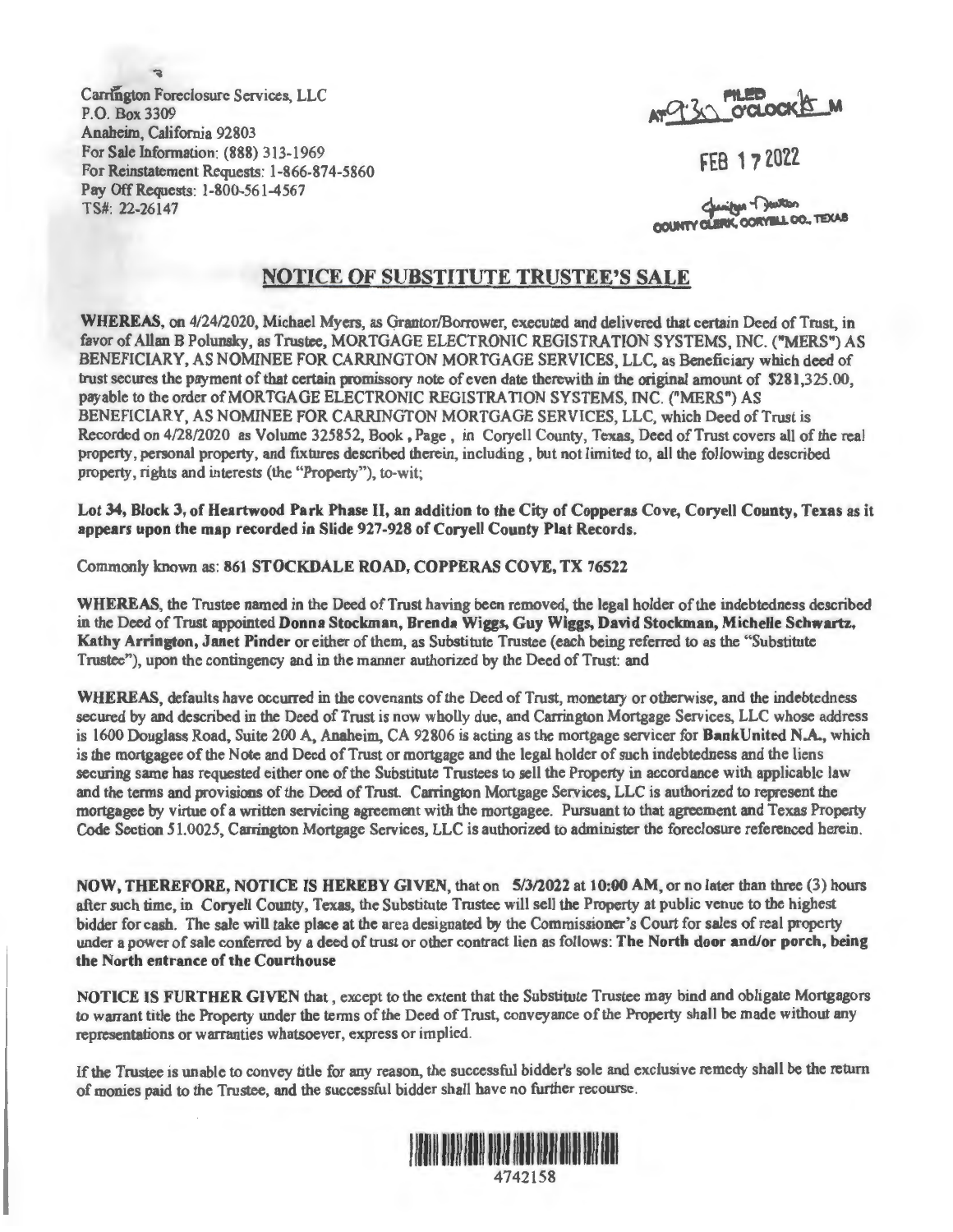• Carrington Foreclosure Services, LLC P.O. Box 3309 Anaheim, California 92803 For Sale Information: **(888)** 313-1969 For Reinstatement Requests: 1-866-874-5860 Pay Off Requests: 1-800-561-4567 TS#: 22-26147

**fltl!e** .'\ti.- <sup>I</sup> **A,i~j'** >0 O'CLOCK.B-M

FEB 17 2022

COUNTY CLERK, CORYELL CO., TEXAS

## NOTICE OF SUBSTITUTE TRUSTEE'S SALE

WHEREAS, on 4/24/2020, Michael Myers, as Grantor/Borrower, executed and delivered that certain Deed of Trust, in favor of Allan B Polunsky, as Trustee, MORTGAGE ELECTRONIC REGISTRATION SYSTEMS, INC. ("MERS") AS BENEFICIARY, AS NOMINEE FOR CARRINGTON MORTGAGE SERVICES, LLC, as Beneficiary which deed of trust secures the payment of that certain promissory note of even date therewith in the original amount of \$281,325.00, payable to the order of MORTGAGE ELECTRONIC REGISTRATION SYSTEMS, INC. ("MERS") AS BENEFICIARY, AS NOMINEE FOR CARRINGTON MORTGAGE SERVICES, LLC, which Deed of Trust is Recorded on 4/28/2020 as Volume 325852, Book, Page, in Coryell County, Texas, Deed of Trust covers all of the real property, personal property, and fixtures described therein, including, but not limited to, all the following described property, rights and interests (the "Property"), to-wit;

Lot 34, Block 3, of Heartwood **Park** Phase II, an addition to the City of Copperas Cove, Coryell County, Texas as it appears upon the map recorded in Slide 927-928 of Coryell County Plat Records.

## Commonly known as: 861 STOCKDALE ROAD, COPPERAS COVE, TX 76522

**WHEREAS,** the Trustee named in the Deed of Trust having been removed, the legal holder of the indebtedness described in the Deed of Trust appointed **Donna Stockman, Brenda Wiggs, Guy Wiggs, David Stockman, Michelle Schwartz, Kathy Arrington,** Janet **Pinder** or either of them, as Substitute Trustee (each being referred to as the "Substitute Trustee"), upon the contingency and in the manner authorized by the Deed of Trust: and

**WHEREAS,** defaults have occurred in the covenants of the Deed of Trust, monetary or otherwise, and the indebtedness secured by and described in the Deed of Trust is now wholly due, and Carrington Mortgage Services, LLC whose address is 1600 Douglass Road, Suite 200 A, Anaheim, CA 92806 is acting as the mortgage servicer for Bank United **N.A.,** which is the mortgagee of the Note and Deed of Trust or mortgage and the legal holder of such indebtedness and the liens securing same has requested either one of the Substitute Trustees to sell the Property in accordance with applicable law and the tenns and provisions of the Deed of Trust. Carrington Mortgage Services, LLC is authorized to represent the mortgagee by virtue of a written servicing agreement with the mortgagee. Pursuant to that agreement and Texas Property Code Section 51.0025, Carrington Mortgage Services, LLC is authorized to administer the foreclosure referenced herein.

**NOW, THEREFORE, NOTICE IS HEREBY GIVEN,** that on 5/3/2022 at l 0:00 AM, or no later than three (3) hours after such time, in Coryell County, Texas, the Substitute Trustee will sell the Property at public venue to the highest bidder for cash. The sale will take place at the area designated by the Commissioner's Court for sales of real property under a power of sale conferred by a deed of trust or other contract lien as follows: The North door and/or porch, being **the North entrance of the Courthouse** 

**NOTICE JS FURTHER GIVEN** that, except to the extent that the Substitute Trustee may bind and obligate Mortgagors to warrant title the Property under the terms of the Deed of Trust, conveyance of the Property shall be made without any representations or warranties whatsoever, express or implied.

If the Trustee is unable to convey title for any reason, the successful bidder's sole and exclusive remedy shall be the return of monies paid to the Trustee, and the successful bidder shall have no further recourse.